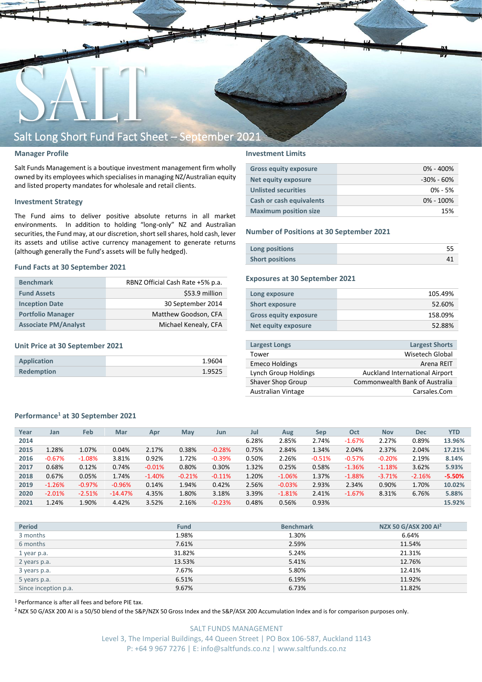

### **Manager Profile**

Salt Funds Management is a boutique investment management firm wholly owned by its employees which specialises in managing NZ/Australian equity and listed property mandates for wholesale and retail clients.

### **Investment Strategy**

The Fund aims to deliver positive absolute returns in all market environments. In addition to holding "long-only" NZ and Australian securities, the Fund may, at our discretion, short sell shares, hold cash, lever its assets and utilise active currency management to generate returns (although generally the Fund's assets will be fully hedged).

#### **Fund Facts at 30 September 2021**

| <b>Benchmark</b>            | RBNZ Official Cash Rate +5% p.a. |  |  |  |  |
|-----------------------------|----------------------------------|--|--|--|--|
| <b>Fund Assets</b>          | \$53.9 million                   |  |  |  |  |
| <b>Inception Date</b>       | 30 September 2014                |  |  |  |  |
| <b>Portfolio Manager</b>    | Matthew Goodson, CFA             |  |  |  |  |
| <b>Associate PM/Analyst</b> | Michael Kenealy, CFA             |  |  |  |  |

### **Unit Price at 30 September 2021**

| Application       | 1.9604 |
|-------------------|--------|
| <b>Redemption</b> | 1.9525 |

## **Investment Limits**

| <b>Gross equity exposure</b> | $0\% - 400\%$  |
|------------------------------|----------------|
| <b>Net equity exposure</b>   | $-30\% - 60\%$ |
| <b>Unlisted securities</b>   | $0\% - 5\%$    |
| Cash or cash equivalents     | $0\% - 100\%$  |
| <b>Maximum position size</b> | 15%            |

#### **Number of Positions at 30 September 2021**

| Long positions         |  |
|------------------------|--|
| <b>Short positions</b> |  |

## **Exposures at 30 September 2021**

| Long exposure                | 105.49% |
|------------------------------|---------|
| <b>Short exposure</b>        | 52.60%  |
| <b>Gross equity exposure</b> | 158.09% |
| Net equity exposure          | 52.88%  |
|                              |         |

| <b>Largest Longs</b>      | <b>Largest Shorts</b>          |
|---------------------------|--------------------------------|
| Tower                     | Wisetech Global                |
| <b>Emeco Holdings</b>     | Arena REIT                     |
| Lynch Group Holdings      | Auckland International Airport |
| Shaver Shop Group         | Commonwealth Bank of Australia |
| <b>Australian Vintage</b> | Carsales.Com                   |
|                           |                                |

### **Performance<sup>1</sup> at 30 September 2021**

| Year | Jan      | Feb      | Mar       | Apr      | May      | Jun      | Jul   | Aug      | Sep      | Oct      | <b>Nov</b> | <b>Dec</b> | <b>YTD</b> |
|------|----------|----------|-----------|----------|----------|----------|-------|----------|----------|----------|------------|------------|------------|
| 2014 |          |          |           |          |          |          | 6.28% | 2.85%    | 2.74%    | $-1.67%$ | 2.27%      | 0.89%      | 13.96%     |
| 2015 | 1.28%    | 1.07%    | 0.04%     | 2.17%    | 0.38%    | $-0.28%$ | 0.75% | 2.84%    | 1.34%    | 2.04%    | 2.37%      | 2.04%      | 17.21%     |
| 2016 | $-0.67%$ | $-1.08%$ | 3.81%     | 0.92%    | 1.72%    | $-0.39%$ | 0.50% | 2.26%    | $-0.51%$ | $-0.57%$ | $-0.20%$   | 2.19%      | 8.14%      |
| 2017 | 0.68%    | 0.12%    | 0.74%     | $-0.01%$ | 0.80%    | 0.30%    | 1.32% | 0.25%    | 0.58%    | $-1.36%$ | $-1.18%$   | 3.62%      | 5.93%      |
| 2018 | 0.67%    | 0.05%    | 1.74%     | $-1.40%$ | $-0.21%$ | $-0.11%$ | 1.20% | $-1.06%$ | 1.37%    | $-1.88%$ | $-3.71%$   | $-2.16%$   | $-5.50%$   |
| 2019 | $-1.26%$ | $-0.97%$ | $-0.96%$  | 0.14%    | 1.94%    | 0.42%    | 2.56% | $-0.03%$ | 2.93%    | 2.34%    | 0.90%      | 1.70%      | 10.02%     |
| 2020 | $-2.01%$ | $-2.51%$ | $-14.47%$ | 4.35%    | 1.80%    | 3.18%    | 3.39% | $-1.81%$ | 2.41%    | $-1.67%$ | 8.31%      | 6.76%      | 5.88%      |
| 2021 | 1.24%    | 1.90%    | 4.42%     | 3.52%    | 2.16%    | $-0.23%$ | 0.48% | 0.56%    | 0.93%    |          |            |            | 15.92%     |
|      |          |          |           |          |          |          |       |          |          |          |            |            |            |

| <b>Period</b>        | <b>Fund</b> | <b>Benchmark</b> | NZX 50 G/ASX 200 Al <sup>2</sup> |
|----------------------|-------------|------------------|----------------------------------|
| 3 months             | 1.98%       | 1.30%            | 6.64%                            |
| 6 months             | 7.61%       | 2.59%            | 11.54%                           |
| 1 year p.a.          | 31.82%      | 5.24%            | 21.31%                           |
| 2 years p.a.         | 13.53%      | 5.41%            | 12.76%                           |
| 3 years p.a.         | 7.67%       | 5.80%            | 12.41%                           |
| 5 years p.a.         | 6.51%       | 6.19%            | 11.92%                           |
| Since inception p.a. | 9.67%       | 6.73%            | 11.82%                           |

<sup>1</sup> Performance is after all fees and before PIE tax.

<sup>2</sup> NZX 50 G/ASX 200 AI is a 50/50 blend of the S&P/NZX 50 Gross Index and the S&P/ASX 200 Accumulation Index and is for comparison purposes only.

SALT FUNDS MANAGEMENT Level 3, The Imperial Buildings, 44 Queen Street | PO Box 106-587, Auckland 1143 P: +64 9 967 7276 | E: info@saltfunds.co.nz | www.saltfunds.co.nz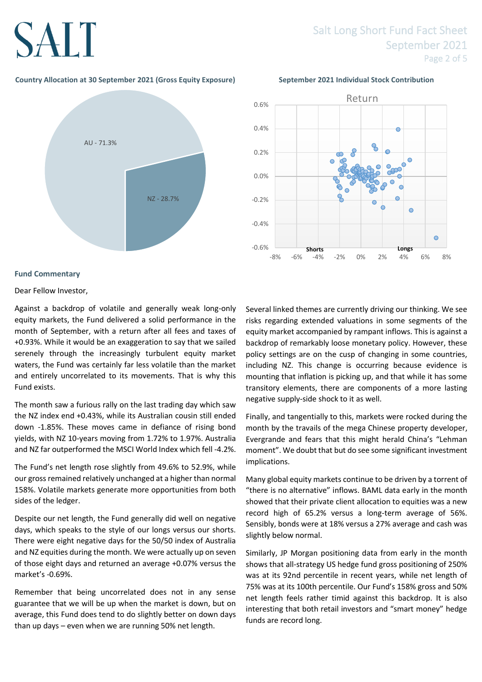# SALT

## Salt Long Short Fund Fact Sheet September 2021 Page 2 of 5

## **Country Allocation at 30 September 2021 (Gross Equity Exposure) September 2021 Individual Stock Contribution**





## **Fund Commentary**

Dear Fellow Investor,

Against a backdrop of volatile and generally weak long-only equity markets, the Fund delivered a solid performance in the month of September, with a return after all fees and taxes of +0.93%. While it would be an exaggeration to say that we sailed serenely through the increasingly turbulent equity market waters, the Fund was certainly far less volatile than the market and entirely uncorrelated to its movements. That is why this Fund exists.

The month saw a furious rally on the last trading day which saw the NZ index end +0.43%, while its Australian cousin still ended down -1.85%. These moves came in defiance of rising bond yields, with NZ 10-years moving from 1.72% to 1.97%. Australia and NZ far outperformed the MSCI World Index which fell -4.2%.

The Fund's net length rose slightly from 49.6% to 52.9%, while our gross remained relatively unchanged at a higher than normal 158%. Volatile markets generate more opportunities from both sides of the ledger.

Despite our net length, the Fund generally did well on negative days, which speaks to the style of our longs versus our shorts. There were eight negative days for the 50/50 index of Australia and NZ equities during the month. We were actually up on seven of those eight days and returned an average +0.07% versus the market's -0.69%.

Remember that being uncorrelated does not in any sense guarantee that we will be up when the market is down, but on average, this Fund does tend to do slightly better on down days than up days – even when we are running 50% net length.

Several linked themes are currently driving our thinking. We see risks regarding extended valuations in some segments of the equity market accompanied by rampant inflows. This is against a backdrop of remarkably loose monetary policy. However, these policy settings are on the cusp of changing in some countries, including NZ. This change is occurring because evidence is mounting that inflation is picking up, and that while it has some transitory elements, there are components of a more lasting negative supply-side shock to it as well.

Finally, and tangentially to this, markets were rocked during the month by the travails of the mega Chinese property developer, Evergrande and fears that this might herald China's "Lehman moment". We doubt that but do see some significant investment implications.

Many global equity markets continue to be driven by a torrent of "there is no alternative" inflows. BAML data early in the month showed that their private client allocation to equities was a new record high of 65.2% versus a long-term average of 56%. Sensibly, bonds were at 18% versus a 27% average and cash was slightly below normal.

Similarly, JP Morgan positioning data from early in the month shows that all-strategy US hedge fund gross positioning of 250% was at its 92nd percentile in recent years, while net length of 75% was at its 100th percentile. Our Fund's 158% gross and 50% net length feels rather timid against this backdrop. It is also interesting that both retail investors and "smart money" hedge funds are record long.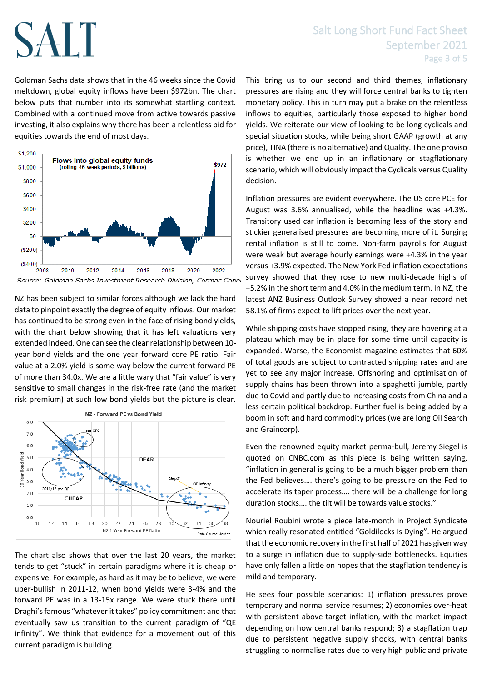# **SALT**

## Salt Long Short Fund Fact Sheet September 2021 Page 3 of 5

Goldman Sachs data shows that in the 46 weeks since the Covid meltdown, global equity inflows have been \$972bn. The chart below puts that number into its somewhat startling context. Combined with a continued move from active towards passive investing, it also explains why there has been a relentless bid for equities towards the end of most days.



Source: Goldman Sachs Investment Research Division, Cormac Conne

NZ has been subject to similar forces although we lack the hard data to pinpoint exactly the degree of equity inflows. Our market has continued to be strong even in the face of rising bond yields, with the chart below showing that it has left valuations very extended indeed. One can see the clear relationship between 10 year bond yields and the one year forward core PE ratio. Fair value at a 2.0% yield is some way below the current forward PE of more than 34.0x. We are a little wary that "fair value" is very sensitive to small changes in the risk-free rate (and the market risk premium) at such low bond yields but the picture is clear.



The chart also shows that over the last 20 years, the market tends to get "stuck" in certain paradigms where it is cheap or expensive. For example, as hard as it may be to believe, we were uber-bullish in 2011-12, when bond yields were 3-4% and the forward PE was in a 13-15x range. We were stuck there until Draghi's famous "whatever it takes" policy commitment and that eventually saw us transition to the current paradigm of "QE infinity". We think that evidence for a movement out of this current paradigm is building.

This bring us to our second and third themes, inflationary pressures are rising and they will force central banks to tighten monetary policy. This in turn may put a brake on the relentless inflows to equities, particularly those exposed to higher bond yields. We reiterate our view of looking to be long cyclicals and special situation stocks, while being short GAAP (growth at any price), TINA (there is no alternative) and Quality. The one proviso is whether we end up in an inflationary or stagflationary scenario, which will obviously impact the Cyclicals versus Quality decision.

Inflation pressures are evident everywhere. The US core PCE for August was 3.6% annualised, while the headline was +4.3%. Transitory used car inflation is becoming less of the story and stickier generalised pressures are becoming more of it. Surging rental inflation is still to come. Non-farm payrolls for August were weak but average hourly earnings were +4.3% in the year versus +3.9% expected. The New York Fed inflation expectations survey showed that they rose to new multi-decade highs of +5.2% in the short term and 4.0% in the medium term. In NZ, the latest ANZ Business Outlook Survey showed a near record net 58.1% of firms expect to lift prices over the next year.

While shipping costs have stopped rising, they are hovering at a plateau which may be in place for some time until capacity is expanded. Worse, the Economist magazine estimates that 60% of total goods are subject to contracted shipping rates and are yet to see any major increase. Offshoring and optimisation of supply chains has been thrown into a spaghetti jumble, partly due to Covid and partly due to increasing costs from China and a less certain political backdrop. Further fuel is being added by a boom in soft and hard commodity prices (we are long Oil Search and Graincorp).

Even the renowned equity market perma-bull, Jeremy Siegel is quoted on CNBC.com as this piece is being written saying, "inflation in general is going to be a much bigger problem than the Fed believes…. there's going to be pressure on the Fed to accelerate its taper process…. there will be a challenge for long duration stocks…. the tilt will be towards value stocks."

Nouriel Roubini wrote a piece late-month in Project Syndicate which really resonated entitled "Goldilocks Is Dying". He argued that the economic recovery in the first half of 2021 has given way to a surge in inflation due to supply-side bottlenecks. Equities have only fallen a little on hopes that the stagflation tendency is mild and temporary.

He sees four possible scenarios: 1) inflation pressures prove temporary and normal service resumes; 2) economies over-heat with persistent above-target inflation, with the market impact depending on how central banks respond; 3) a stagflation trap due to persistent negative supply shocks, with central banks struggling to normalise rates due to very high public and private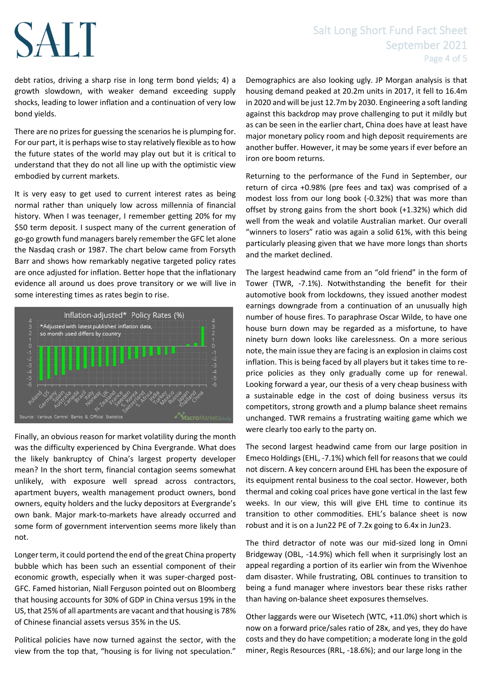# SALT

## Salt Long Short Fund Fact Sheet September 2021 Page 4 of 5

debt ratios, driving a sharp rise in long term bond yields; 4) a growth slowdown, with weaker demand exceeding supply shocks, leading to lower inflation and a continuation of very low bond yields.

There are no prizes for guessing the scenarios he is plumping for. For our part, it is perhaps wise to stay relatively flexible as to how the future states of the world may play out but it is critical to understand that they do not all line up with the optimistic view embodied by current markets.

It is very easy to get used to current interest rates as being normal rather than uniquely low across millennia of financial history. When I was teenager, I remember getting 20% for my \$50 term deposit. I suspect many of the current generation of go-go growth fund managers barely remember the GFC let alone the Nasdaq crash or 1987. The chart below came from Forsyth Barr and shows how remarkably negative targeted policy rates are once adjusted for inflation. Better hope that the inflationary evidence all around us does prove transitory or we will live in some interesting times as rates begin to rise.



Finally, an obvious reason for market volatility during the month was the difficulty experienced by China Evergrande. What does the likely bankruptcy of China's largest property developer mean? In the short term, financial contagion seems somewhat unlikely, with exposure well spread across contractors, apartment buyers, wealth management product owners, bond owners, equity holders and the lucky depositors at Evergrande's own bank. Major mark-to-markets have already occurred and some form of government intervention seems more likely than not.

Longer term, it could portend the end of the great China property bubble which has been such an essential component of their economic growth, especially when it was super-charged post-GFC. Famed historian, Niall Ferguson pointed out on Bloomberg that housing accounts for 30% of GDP in China versus 19% in the US, that 25% of all apartments are vacant and that housing is 78% of Chinese financial assets versus 35% in the US.

Political policies have now turned against the sector, with the view from the top that, "housing is for living not speculation."

Demographics are also looking ugly. JP Morgan analysis is that housing demand peaked at 20.2m units in 2017, it fell to 16.4m in 2020 and will be just 12.7m by 2030. Engineering a soft landing against this backdrop may prove challenging to put it mildly but as can be seen in the earlier chart, China does have at least have major monetary policy room and high deposit requirements are another buffer. However, it may be some years if ever before an iron ore boom returns.

Returning to the performance of the Fund in September, our return of circa +0.98% (pre fees and tax) was comprised of a modest loss from our long book (-0.32%) that was more than offset by strong gains from the short book (+1.32%) which did well from the weak and volatile Australian market. Our overall "winners to losers" ratio was again a solid 61%, with this being particularly pleasing given that we have more longs than shorts and the market declined.

The largest headwind came from an "old friend" in the form of Tower (TWR, -7.1%). Notwithstanding the benefit for their automotive book from lockdowns, they issued another modest earnings downgrade from a continuation of an unusually high number of house fires. To paraphrase Oscar Wilde, to have one house burn down may be regarded as a misfortune, to have ninety burn down looks like carelessness. On a more serious note, the main issue they are facing is an explosion in claims cost inflation. This is being faced by all players but it takes time to reprice policies as they only gradually come up for renewal. Looking forward a year, our thesis of a very cheap business with a sustainable edge in the cost of doing business versus its competitors, strong growth and a plump balance sheet remains unchanged. TWR remains a frustrating waiting game which we were clearly too early to the party on.

The second largest headwind came from our large position in Emeco Holdings (EHL, -7.1%) which fell for reasons that we could not discern. A key concern around EHL has been the exposure of its equipment rental business to the coal sector. However, both thermal and coking coal prices have gone vertical in the last few weeks. In our view, this will give EHL time to continue its transition to other commodities. EHL's balance sheet is now robust and it is on a Jun22 PE of 7.2x going to 6.4x in Jun23.

The third detractor of note was our mid-sized long in Omni Bridgeway (OBL, -14.9%) which fell when it surprisingly lost an appeal regarding a portion of its earlier win from the Wivenhoe dam disaster. While frustrating, OBL continues to transition to being a fund manager where investors bear these risks rather than having on-balance sheet exposures themselves.

Other laggards were our Wisetech (WTC, +11.0%) short which is now on a forward price/sales ratio of 28x, and yes, they do have costs and they do have competition; a moderate long in the gold miner, Regis Resources (RRL, -18.6%); and our large long in the